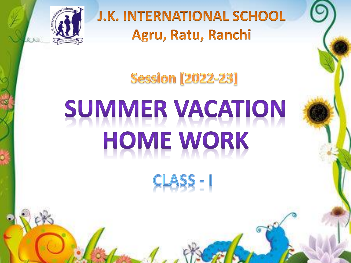

**J.K. INTERNATIONAL SCHOOL** Agru, Ratu, Ranchi

**Session [2022-23]** 

## SUMMER VACATION HOME WORK CLASS - I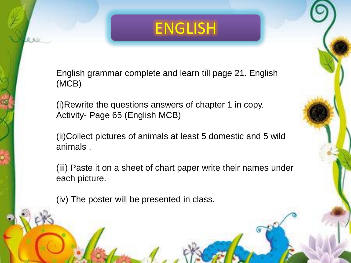## ENGLISH

English grammar complete and learn till page 21. English (MCB)

(i)Rewrite the questions answers of chapter 1 in copy. Activity- Page 65 (English MCB)

(ii)Collect pictures of animals at least 5 domestic and 5 wild animals .

(iii) Paste it on a sheet of chart paper write their names under each picture.

(iv) The poster will be presented in class.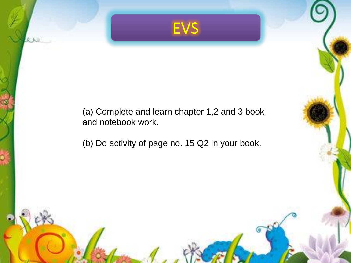

(a) Complete and learn chapter 1,2 and 3 book and notebook work.

(b) Do activity of page no. 15 Q2 in your book.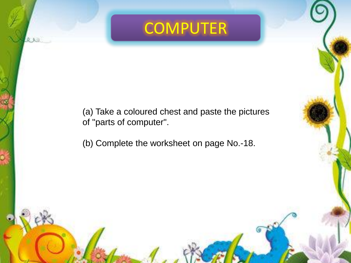## **COMPUTER**

(a) Take a coloured chest and paste the pictures of "parts of computer".

(b) Complete the worksheet on page No.-18.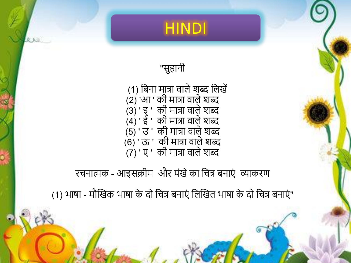

"सुहानी

(1) बिना मात्रा वाले शब्द लिखें (2) 'आ ' की मात्रा वाले शब्द (3) ' इ ' की मात्रा वाले शब्द (4) ' ई ' की मात्रा वाले शब्द  $(5)'$  उं ' की मात्रा वाले शब्द  $(6)'$  ' ऊ ' की मात्रा वाले शब्द (7) ' ए ' की मात्रा वालेशब्द

रचनात्मक - आइसक्रीम और पंखे का चित्र बनाएं व्याकरण

(1) भाषा - मौखिक भाषा के दो चित्र बनाएं लिखित भाषा के दो चित्र बनाएं"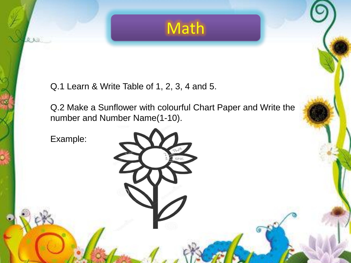

Q.1 Learn & Write Table of 1, 2, 3, 4 and 5.

Q.2 Make a Sunflower with colourful Chart Paper and Write the number and Number Name(1-10).

Example: